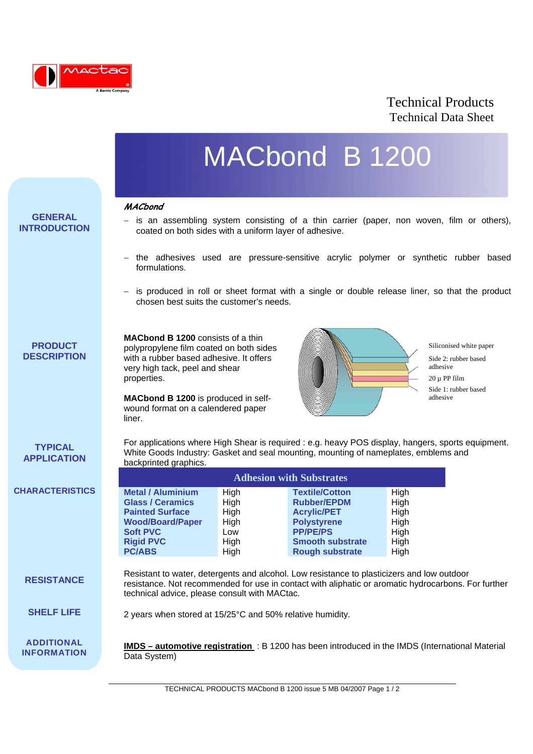

## Technical Products Technical Data Sheet

# MACbond B 1200

#### **MACbond**

l

**GENERAL INTRODUCTION**

- 
- is an assembling system consisting of a thin carrier (paper, non woven, film or others), coated on both sides with a uniform layer of adhesive.
- − the adhesives used are pressure-sensitive acrylic polymer or synthetic rubber based formulations.
- − is produced in roll or sheet format with a single or double release liner, so that the product chosen best suits the customer's needs.

### **PRODUCT DESCRIPTION**

**MACbond B 1200** consists of a thin polypropylene film coated on both sides with a rubber based adhesive. It offers very high tack, peel and shear properties.

**MACbond B 1200** is produced in selfwound format on a calendered paper liner.

backprinted graphics.



Siliconised white paper Side 2: rubber based adhesive  $20 \text{ µ}$  PP film Side 1: rubber based adhesive

**TYPICAL APPLICATION**

**CHARACTERISTICS**

**RESISTANCE**

**ADDITIONAL INFORMATION** Resistant to water, detergents and alcohol. Low resistance to plasticizers and low outdoor resistance. Not recommended for use in contact with aliphatic or aromatic hydrocarbons. For further technical advice, please consult with MACtac.

**Righ Smooth substrate** High

For applications where High Shear is required : e.g. heavy POS display, hangers, sports equipment.

White Goods Industry: Gasket and seal mounting, mounting of nameplates, emblems and

**Adhesion with Substrates** 

**Metal / Aluminium High Textile/Cotton** High **Glass / Ceramics** High **Rubber/EPDM** High **Painted Surface Community High Macrylic/PET** High **Wood/Board/Paper High Polystyrene High Soft PVC Low Low PP/PE/PS High Rigid PVC High High High Smooth substrate High All Property Control All Property Control All Property Control All Property Control All Property Control All Property Control All Property Cont** 

**PC/ABS** High **Rough substrate** High

#### 2 years when stored at 15/25°C and 50% relative humidity. **SHELF LIFE**

**IMDS – automotive registration** : B 1200 has been introduced in the IMDS (International Material Data System)